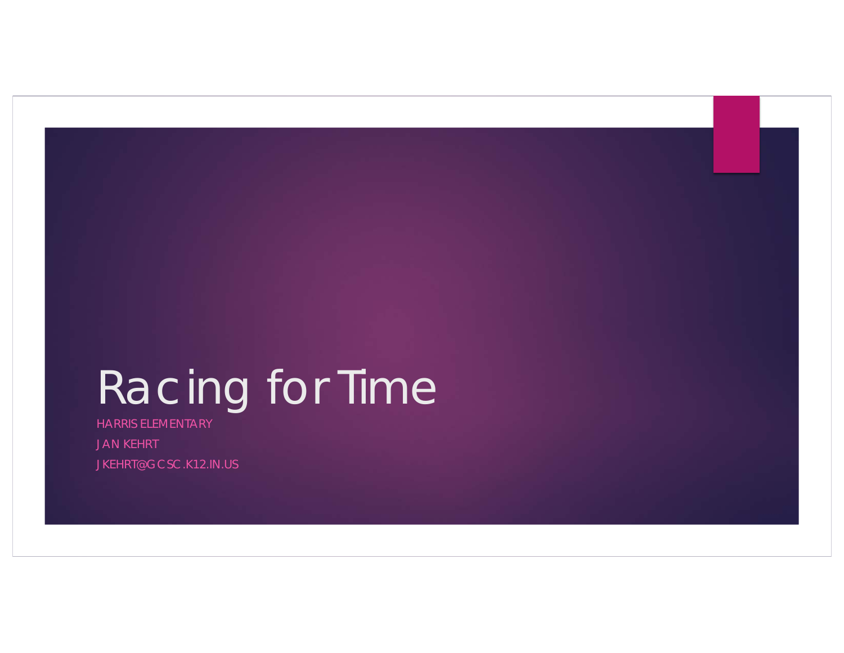# Racing for Time

HARRIS ELEMENTARY JAN KEHRT JKEHRT@GCSC.K12.IN.US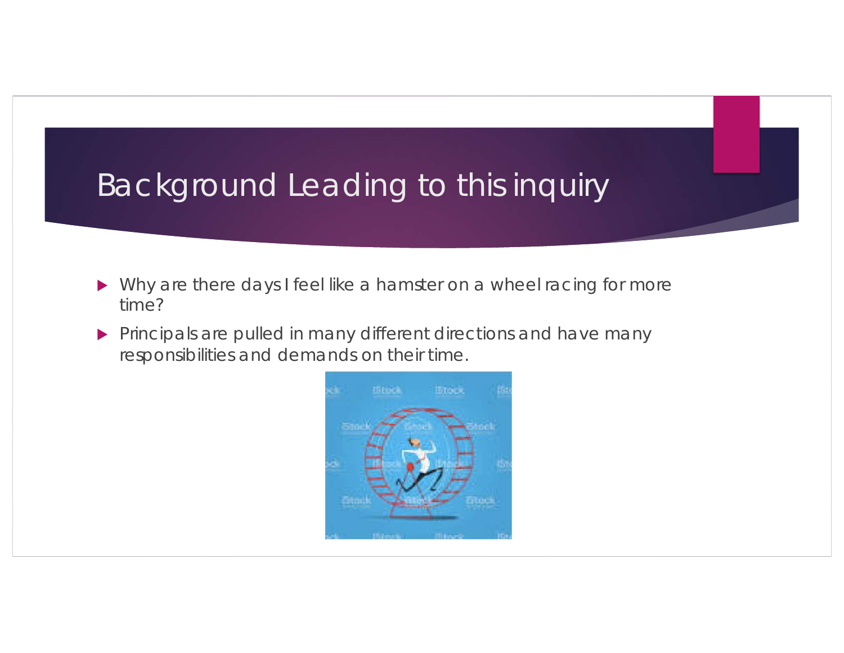### Background Leading to this inquiry

- $\blacktriangleright$  Why are there days I feel like a hamster on a wheel racing for more time?
- $\blacktriangleright$  Principals are pulled in many different directions and have many responsibilities and demands on their time.

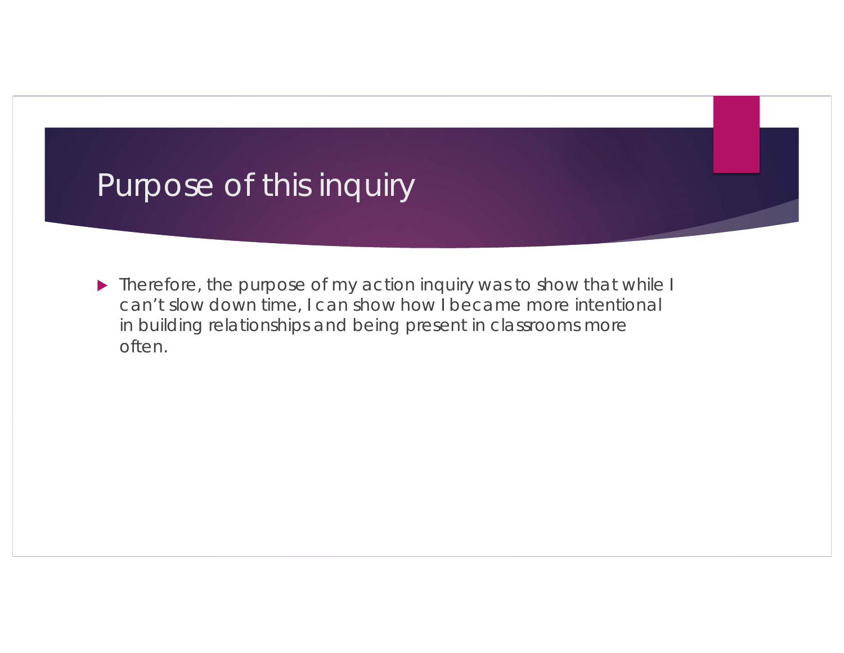### Purpose of this inquiry

 $\blacktriangleright$  Therefore, the purpose of my action inquiry was to show that while I can't slow down time, I can show how I became more intentional in building relationships and being present in classrooms more often.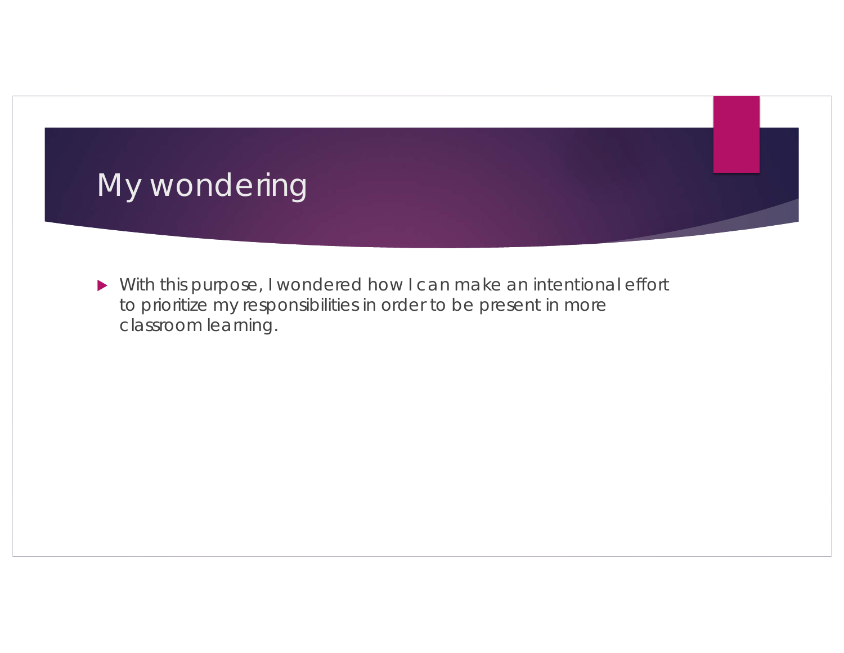

 $\blacktriangleright$  With this purpose, I wondered how I can make an intentional effort to prioritize my responsibilities in order to be present in more classroom learning.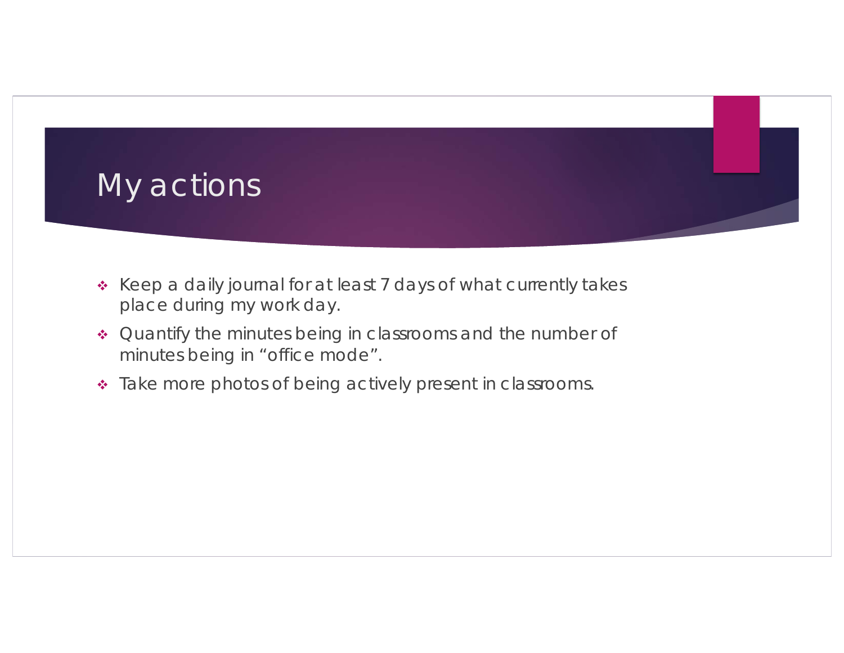

- \* Keep a daily journal for at least 7 days of what currently takes place during my work day.
- Quantify the minutes being in classrooms and the number of minutes being in "office mode".
- \* Take more photos of being actively present in classrooms.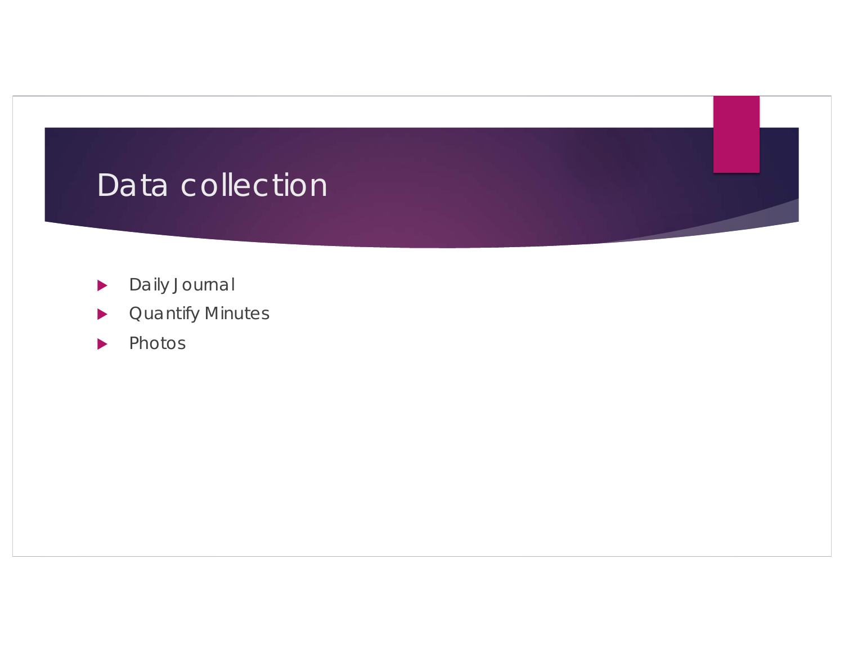### Data collection

- **Daily Journal**
- **Duantify Minutes**
- $\blacktriangleright$  Photos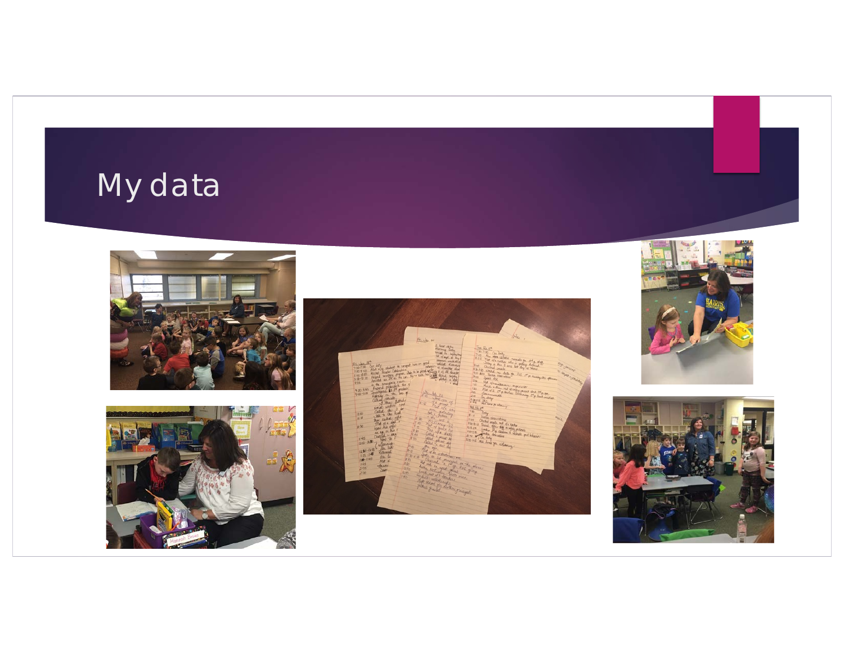# My data









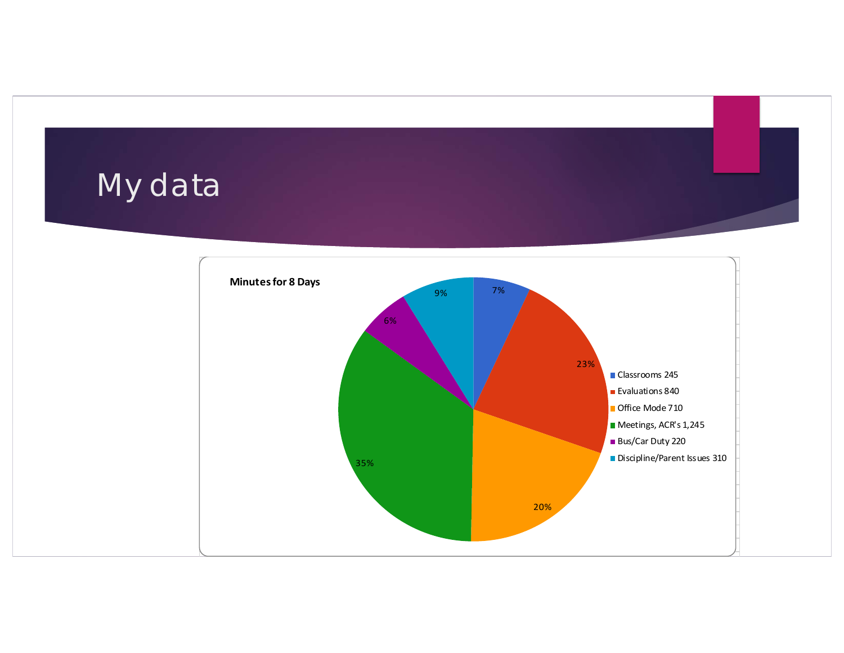# My data

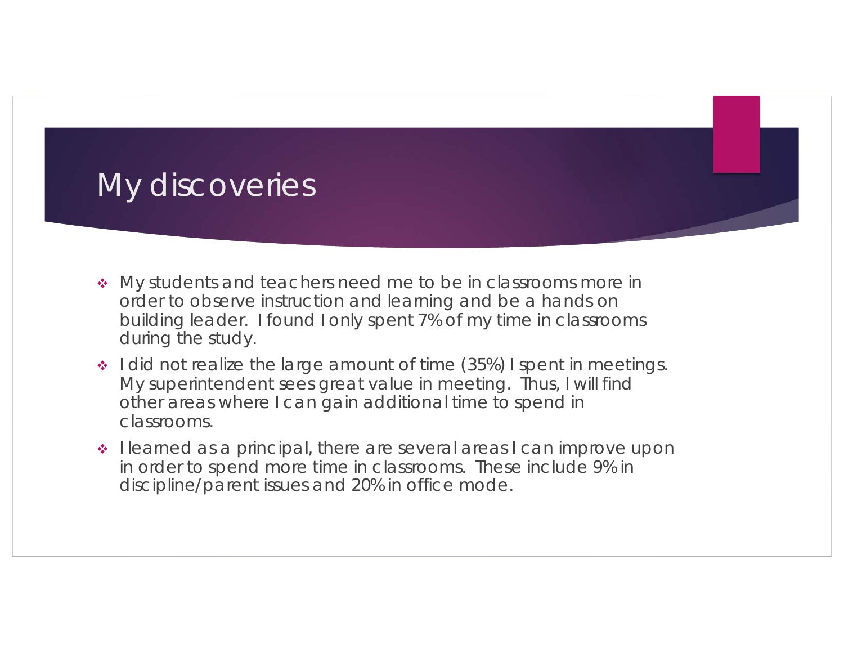#### My discoveries

- My students and teachers need me to be in classrooms more in order to observe instruction and learning and be a hands on building leader. I found I only spent 7% of my time in classrooms during the study.
- $\cdot$  I did not realize the large amount of time (35%) I spent in meetings. My superintendent sees great value in meeting. Thus, I will find other areas where I can gain additional time to spend in classrooms.
- I learned as a principal, there are several areas I can improve upon in order to spend more time in classrooms. These include 9% in discipline/parent issues and 20% in office mode.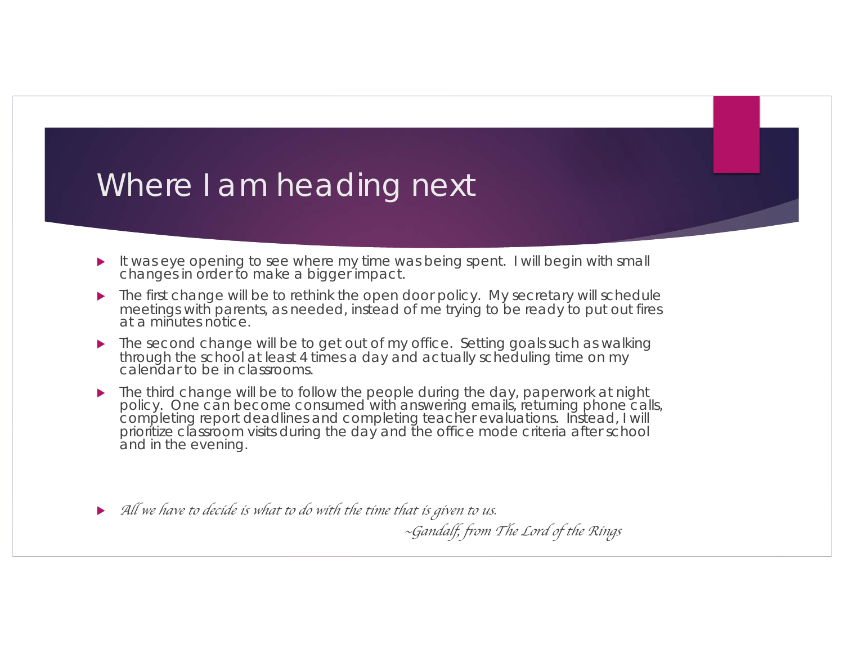#### Where I am heading next

- It was eye opening to see where my time was being spent. I will begin with small changes in order to make a bigger impact.
- The first change will be to rethink the open door policy. My secretary will schedule meetings with parents, as needed, instead of me trying to be ready to put out fires at a minutes notice.
- The second change will be to get out of my office. Setting goals such as walking through the school at least 4 times a day and actually scheduling time on my calendar to be in classrooms.
- The third change will be to follow the people during the day, paperwork at night policy. One can become consumed with answering emails, returning phone calls, completing report deadlines and completing teacher evaluations. Instead, I will prioritize classroom visits during the day and the office mode criteria after school and in the evening.
- ▶ All we have to decide is what to do with the time that is given to us.

~*Gandalf, from The Lord of the Rings*